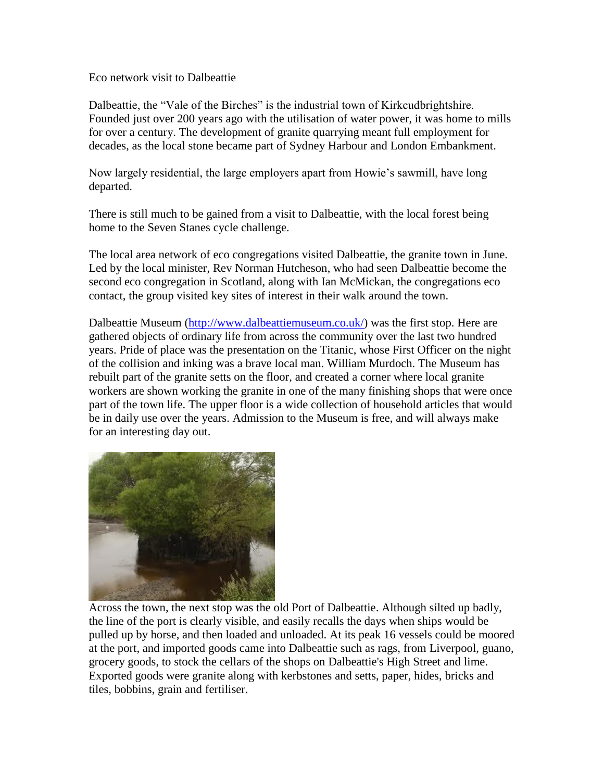## Eco network visit to Dalbeattie

Dalbeattie, the "Vale of the Birches" is the industrial town of Kirkcudbrightshire. Founded just over 200 years ago with the utilisation of water power, it was home to mills for over a century. The development of granite quarrying meant full employment for decades, as the local stone became part of Sydney Harbour and London Embankment.

Now largely residential, the large employers apart from Howie's sawmill, have long departed.

There is still much to be gained from a visit to Dalbeattie, with the local forest being home to the Seven Stanes cycle challenge.

The local area network of eco congregations visited Dalbeattie, the granite town in June. Led by the local minister, Rev Norman Hutcheson, who had seen Dalbeattie become the second eco congregation in Scotland, along with Ian McMickan, the congregations eco contact, the group visited key sites of interest in their walk around the town.

Dalbeattie Museum [\(http://www.dalbeattiemuseum.co.uk/\)](http://www.dalbeattiemuseum.co.uk/) was the first stop. Here are gathered objects of ordinary life from across the community over the last two hundred years. Pride of place was the presentation on the Titanic, whose First Officer on the night of the collision and inking was a brave local man. William Murdoch. The Museum has rebuilt part of the granite setts on the floor, and created a corner where local granite workers are shown working the granite in one of the many finishing shops that were once part of the town life. The upper floor is a wide collection of household articles that would be in daily use over the years. Admission to the Museum is free, and will always make for an interesting day out.



Across the town, the next stop was the old Port of Dalbeattie. Although silted up badly, the line of the port is clearly visible, and easily recalls the days when ships would be pulled up by horse, and then loaded and unloaded. At its peak 16 vessels could be moored at the port, and imported goods came into Dalbeattie such as rags, from Liverpool, guano, grocery goods, to stock the cellars of the shops on Dalbeattie's High Street and lime. Exported goods were granite along with kerbstones and setts, paper, hides, bricks and tiles, bobbins, grain and fertiliser.